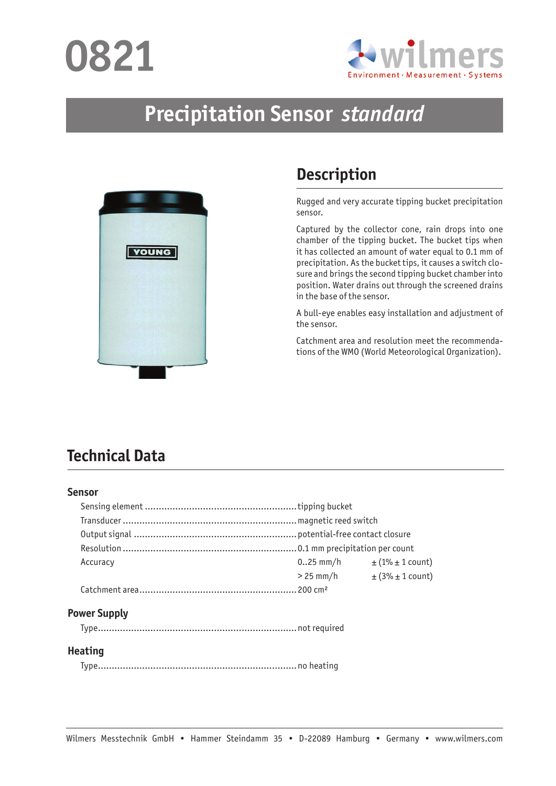



# **Precipitation Sensor** *standard*



# **Description**

Rugged and very accurate tipping bucket precipitation sensor.

Captured by the collector cone, rain drops into one chamber of the tipping bucket. The bucket tips when it has collected an amount of water equal to 0.1 mm of precipitation. As the bucket tips, it causes a switch closure and brings the second tipping bucket chamber into position. Water drains out through the screened drains in the base of the sensor.

A bull-eye enables easy installation and adjustment of the sensor.

Catchment area and resolution meet the recommendations of the WMO (World Meteorological Organization).

# **Technical Data**

#### **Sensor**

| Accuracy | $025$ mm/h  | $\pm$ (1% $\pm$ 1 count) |
|----------|-------------|--------------------------|
|          | $>$ 25 mm/h | $\pm$ (3% $\pm$ 1 count) |
|          |             |                          |
|          |             |                          |

### **Power Supply**

```
Type........................................................................not required
```
#### **Heating**

Type........................................................................no heating